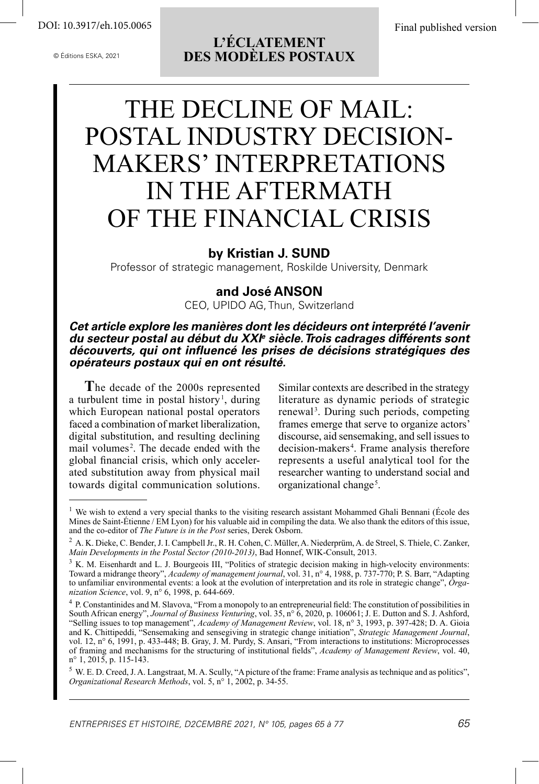© Éditions ESKA, 2021

## **L'ÉCLATEMENT DES MODÈLES POSTAUX**

# THE DECLINE OF MAIL: POSTAL INDUSTRY DECISION-MAKERS' INTERPRETATIONS IN THE AFTERMATH OF THE FINANCIAL CRISIS

### **by Kristian J. SUND**

Professor of strategic management, Roskilde University, Denmark

## **and José ANSON**

CEO, UPIDO AG, Thun, Switzerland

*Cet article explore les manières dont les décideurs ont interprété l'avenir du secteur postal au début du XXIe siècle. Trois cadrages différents sont découverts, qui ont influencé les prises de décisions stratégiques des opérateurs postaux qui en ont résulté.*

**T**he decade of the 2000s represented a turbulent time in postal history<sup>1</sup>, during which European national postal operators faced a combination of market liberalization, digital substitution, and resulting declining mail volumes<sup>2</sup>. The decade ended with the global financial crisis, which only accelerated substitution away from physical mail towards digital communication solutions.

Similar contexts are described in the strategy literature as dynamic periods of strategic renewal<sup>3</sup>. During such periods, competing frames emerge that serve to organize actors' discourse, aid sensemaking, and sell issues to decision-makers<sup>4</sup>. Frame analysis therefore represents a useful analytical tool for the researcher wanting to understand social and organizational change<sup>5</sup>.

<sup>&</sup>lt;sup>1</sup> We wish to extend a very special thanks to the visiting research assistant Mohammed Ghali Bennani (École des Mines de Saint-Étienne / EM Lyon) for his valuable aid in compiling the data. We also thank the editors of this issue, and the co-editor of *The Future is in the Post* series, Derek Osborn.

<sup>&</sup>lt;sup>2</sup> A. K. Dieke, C. Bender, J. I. Campbell Jr., R. H. Cohen, C. Müller, A. Niederprüm, A. de Streel, S. Thiele, C. Zanker, *Main Developments in the Postal Sector (2010-2013)*, Bad Honnef, WIK-Consult, 2013.

 $3 K. M.$  Eisenhardt and L. J. Bourgeois III, "Politics of strategic decision making in high-velocity environments: Toward a midrange theory", *Academy of management journal*, vol. 31, n° 4, 1988, p. 737-770; P. S. Barr, "Adapting to unfamiliar environmental events: a look at the evolution of interpretation and its role in strategic change", *Organization Science*, vol. 9, n° 6, 1998, p. 644-669.

<sup>&</sup>lt;sup>4</sup> P. Constantinides and M. Slavova, "From a monopoly to an entrepreneurial field: The constitution of possibilities in South African energy", *Journal of Business Venturing*, vol. 35, n° 6, 2020, p. 106061; J. E. Dutton and S. J. Ashford, "Selling issues to top management", *Academy of Management Review*, vol. 18, n° 3, 1993, p. 397-428; D. A. Gioia and K. Chittipeddi, "Sensemaking and sensegiving in strategic change initiation", *Strategic Management Journal*, vol. 12, n° 6, 1991, p. 433-448; B. Gray, J. M. Purdy, S. Ansari, "From interactions to institutions: Microprocesses of framing and mechanisms for the structuring of institutional fields", *Academy of Management Review*, vol. 40, n° 1, 2015, p. 115-143.

<sup>5</sup> W. E. D. Creed, J. A. Langstraat, M. A. Scully, "A picture of the frame: Frame analysis as technique and as politics", *Organizational Research Methods*, vol. 5, n° 1, 2002, p. 34-55.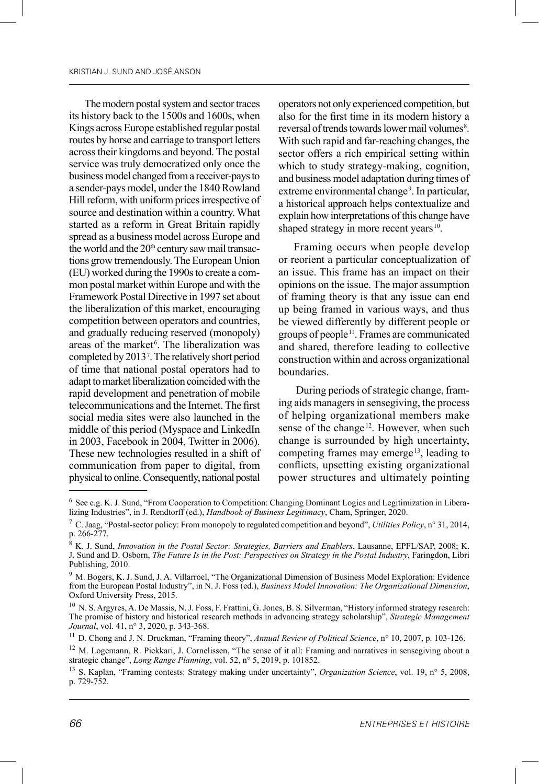The modern postal system and sector traces its history back to the 1500s and 1600s, when Kings across Europe established regular postal routes by horse and carriage to transport letters across their kingdoms and beyond. The postal service was truly democratized only once the business model changed from a receiver-pays to a sender-pays model, under the 1840 Rowland Hill reform, with uniform prices irrespective of source and destination within a country. What started as a reform in Great Britain rapidly spread as a business model across Europe and the world and the 20<sup>th</sup> century saw mail transactions grow tremendously. The European Union (EU) worked during the 1990s to create a common postal market within Europe and with the Framework Postal Directive in 1997 set about the liberalization of this market, encouraging competition between operators and countries, and gradually reducing reserved (monopoly) areas of the market<sup>6</sup>. The liberalization was completed by 20137 . The relatively short period of time that national postal operators had to adapt to market liberalization coincided with the rapid development and penetration of mobile telecommunications and the Internet. The first social media sites were also launched in the middle of this period (Myspace and LinkedIn in 2003, Facebook in 2004, Twitter in 2006). These new technologies resulted in a shift of communication from paper to digital, from physical to online. Consequently, national postal

operators not only experienced competition, but also for the first time in its modern history a reversal of trends towards lower mail volumes<sup>8</sup>. With such rapid and far-reaching changes, the sector offers a rich empirical setting within which to study strategy-making, cognition, and business model adaptation during times of extreme environmental change<sup>9</sup>. In particular, a historical approach helps contextualize and explain how interpretations of this change have shaped strategy in more recent years $10$ .

Framing occurs when people develop or reorient a particular conceptualization of an issue. This frame has an impact on their opinions on the issue. The major assumption of framing theory is that any issue can end up being framed in various ways, and thus be viewed differently by different people or groups of people11. Frames are communicated and shared, therefore leading to collective construction within and across organizational boundaries.

 During periods of strategic change, framing aids managers in sensegiving, the process of helping organizational members make sense of the change<sup>12</sup>. However, when such change is surrounded by high uncertainty, competing frames may emerge<sup>13</sup>, leading to conflicts, upsetting existing organizational power structures and ultimately pointing

<sup>6</sup> See e.g. K. J. Sund, "From Cooperation to Competition: Changing Dominant Logics and Legitimization in Liberalizing Industries", in J. Rendtorff (ed.), *Handbook of Business Legitimacy*, Cham, Springer, 2020.

<sup>7</sup> C. Jaag, "Postal-sector policy: From monopoly to regulated competition and beyond", *Utilities Policy*, n° 31, 2014, p. 266-277.

<sup>8</sup> K. J. Sund, *Innovation in the Postal Sector: Strategies, Barriers and Enablers*, Lausanne, EPFL/SAP, 2008; K. J. Sund and D. Osborn, *The Future Is in the Post: Perspectives on Strategy in the Postal Industry*, Faringdon, Libri Publishing, 2010.

<sup>&</sup>lt;sup>9</sup> M. Bogers, K. J. Sund, J. A. Villarroel, "The Organizational Dimension of Business Model Exploration: Evidence from the European Postal Industry", in N. J. Foss (ed.), *Business Model Innovation: The Organizational Dimension*, Oxford University Press, 2015.

<sup>&</sup>lt;sup>10</sup> N. S. Argyres, A. De Massis, N. J. Foss, F. Frattini, G. Jones, B. S. Silverman, "History informed strategy research: The promise of history and historical research methods in advancing strategy scholarship", *Strategic Management Journal*, vol. 41, n° 3, 2020, p. 343-368.

<sup>11</sup> D. Chong and J. N. Druckman, "Framing theory", *Annual Review of Political Science*, n° 10, 2007, p. 103-126.

<sup>&</sup>lt;sup>12</sup> M. Logemann, R. Piekkari, J. Cornelissen, "The sense of it all: Framing and narratives in sensegiving about a strategic change", *Long Range Planning*, vol. 52, n° 5, 2019, p. 101852.

<sup>13</sup> S. Kaplan, "Framing contests: Strategy making under uncertainty", *Organization Science*, vol. 19, n° 5, 2008, p. 729-752.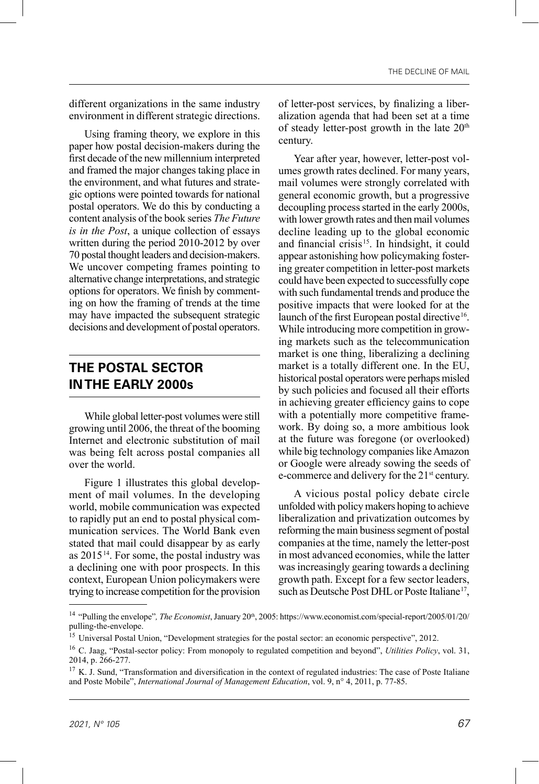different organizations in the same industry environment in different strategic directions.

Using framing theory, we explore in this paper how postal decision-makers during the first decade of the new millennium interpreted and framed the major changes taking place in the environment, and what futures and strategic options were pointed towards for national postal operators. We do this by conducting a content analysis of the book series *The Future is in the Post*, a unique collection of essays written during the period 2010-2012 by over 70 postal thought leaders and decision-makers. We uncover competing frames pointing to alternative change interpretations, and strategic options for operators. We finish by commenting on how the framing of trends at the time may have impacted the subsequent strategic decisions and development of postal operators.

## **THE POSTAL SECTOR IN THE EARLY 2000s**

While global letter-post volumes were still growing until 2006, the threat of the booming Internet and electronic substitution of mail was being felt across postal companies all over the world.

Figure 1 illustrates this global development of mail volumes. In the developing world, mobile communication was expected to rapidly put an end to postal physical communication services. The World Bank even stated that mail could disappear by as early as  $2015^{14}$ . For some, the postal industry was a declining one with poor prospects. In this context, European Union policymakers were trying to increase competition for the provision of letter-post services, by finalizing a liberalization agenda that had been set at a time of steady letter-post growth in the late  $20<sup>th</sup>$ century.

Year after year, however, letter-post volumes growth rates declined. For many years, mail volumes were strongly correlated with general economic growth, but a progressive decoupling process started in the early 2000s, with lower growth rates and then mail volumes decline leading up to the global economic and financial crisis 15. In hindsight, it could appear astonishing how policymaking fostering greater competition in letter-post markets could have been expected to successfully cope with such fundamental trends and produce the positive impacts that were looked for at the launch of the first European postal directive<sup>16</sup>. While introducing more competition in growing markets such as the telecommunication market is one thing, liberalizing a declining market is a totally different one. In the EU, historical postal operators were perhaps misled by such policies and focused all their efforts in achieving greater efficiency gains to cope with a potentially more competitive framework. By doing so, a more ambitious look at the future was foregone (or overlooked) while big technology companies like Amazon or Google were already sowing the seeds of e-commerce and delivery for the 21<sup>st</sup> century.

A vicious postal policy debate circle unfolded with policy makers hoping to achieve liberalization and privatization outcomes by reforming the main business segment of postal companies at the time, namely the letter-post in most advanced economies, while the latter was increasingly gearing towards a declining growth path. Except for a few sector leaders, such as Deutsche Post DHL or Poste Italiane<sup>17</sup>,

<sup>&</sup>lt;sup>14</sup> "Pulling the envelope", *The Economist*, January 20<sup>th</sup>, 2005: https://www.economist.com/special-report/2005/01/20/ pulling-the-envelope.

<sup>&</sup>lt;sup>15</sup> Universal Postal Union, "Development strategies for the postal sector: an economic perspective", 2012.

<sup>16</sup> C. Jaag, "Postal-sector policy: From monopoly to regulated competition and beyond", *Utilities Policy*, vol. 31, 2014, p. 266-277.

 $17$  K. J. Sund, "Transformation and diversification in the context of regulated industries: The case of Poste Italiane and Poste Mobile", *International Journal of Management Education*, vol. 9, n° 4, 2011, p. 77-85.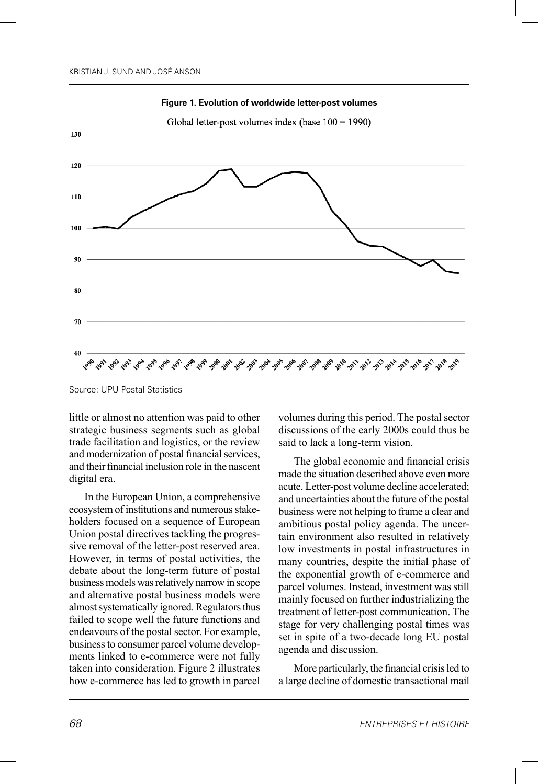

**Figure 1. Evolution of worldwide letter-post volumes**

little or almost no attention was paid to other strategic business segments such as global trade facilitation and logistics, or the review and modernization of postal financial services, and their financial inclusion role in the nascent digital era.

In the European Union, a comprehensive ecosystem of institutions and numerous stakeholders focused on a sequence of European Union postal directives tackling the progressive removal of the letter-post reserved area. However, in terms of postal activities, the debate about the long-term future of postal business models was relatively narrow in scope and alternative postal business models were almost systematically ignored. Regulators thus failed to scope well the future functions and endeavours of the postal sector. For example, business to consumer parcel volume developments linked to e-commerce were not fully taken into consideration. Figure 2 illustrates how e-commerce has led to growth in parcel volumes during this period. The postal sector discussions of the early 2000s could thus be said to lack a long-term vision.

The global economic and financial crisis made the situation described above even more acute. Letter-post volume decline accelerated; and uncertainties about the future of the postal business were not helping to frame a clear and ambitious postal policy agenda. The uncertain environment also resulted in relatively low investments in postal infrastructures in many countries, despite the initial phase of the exponential growth of e-commerce and parcel volumes. Instead, investment was still mainly focused on further industrializing the treatment of letter-post communication. The stage for very challenging postal times was set in spite of a two-decade long EU postal agenda and discussion.

More particularly, the financial crisis led to a large decline of domestic transactional mail

Source: UPU Postal Statistics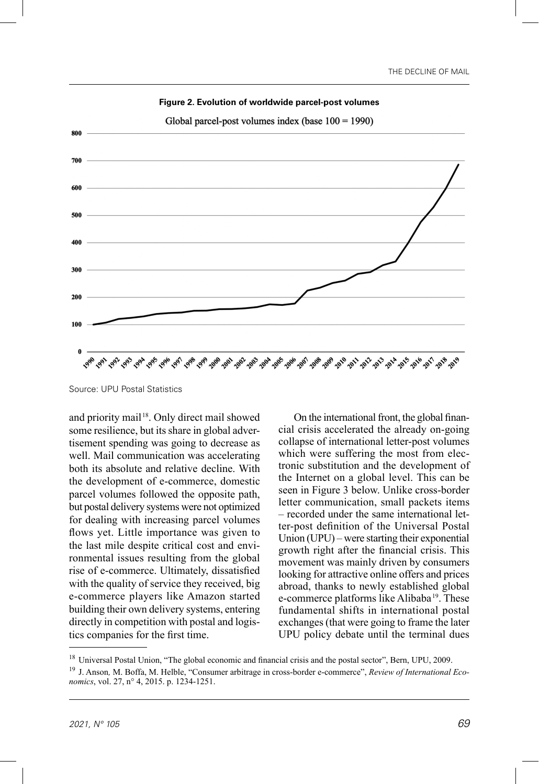

**Figure 2. Evolution of worldwide parcel-post volumes**

and priority mail<sup>18</sup>. Only direct mail showed some resilience, but its share in global advertisement spending was going to decrease as well. Mail communication was accelerating both its absolute and relative decline. With the development of e-commerce, domestic parcel volumes followed the opposite path, but postal delivery systems were not optimized for dealing with increasing parcel volumes flows yet. Little importance was given to the last mile despite critical cost and environmental issues resulting from the global rise of e-commerce. Ultimately, dissatisfied with the quality of service they received, big e-commerce players like Amazon started building their own delivery systems, entering directly in competition with postal and logistics companies for the first time.

On the international front, the global financial crisis accelerated the already on-going collapse of international letter-post volumes which were suffering the most from electronic substitution and the development of the Internet on a global level. This can be seen in Figure 3 below. Unlike cross-border letter communication, small packets items – recorded under the same international letter-post definition of the Universal Postal Union (UPU) – were starting their exponential growth right after the financial crisis. This movement was mainly driven by consumers looking for attractive online offers and prices abroad, thanks to newly established global e-commerce platforms like Alibaba<sup>19</sup>. These fundamental shifts in international postal exchanges (that were going to frame the later UPU policy debate until the terminal dues

Source: UPU Postal Statistics

<sup>&</sup>lt;sup>18</sup> Universal Postal Union, "The global economic and financial crisis and the postal sector", Bern, UPU, 2009.

<sup>19</sup> J. Anson*,* M. Boffa, M. Helble, "Consumer arbitrage in cross-border e-commerce", *Review of International Economics*, vol. 27, n° 4, 2015. p. 1234-1251.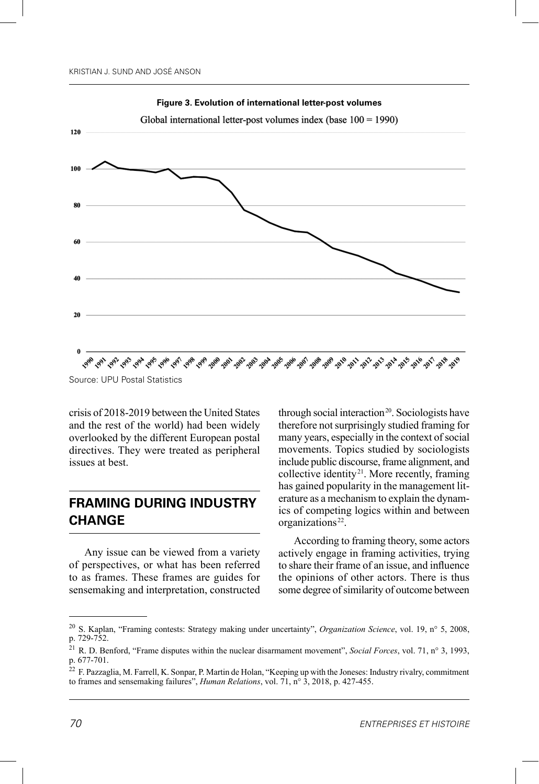

**Figure 3. Evolution of international letter-post volumes**

crisis of 2018-2019 between the United States and the rest of the world) had been widely overlooked by the different European postal directives. They were treated as peripheral issues at best.

## **FRAMING DURING INDUSTRY CHANGE**

Any issue can be viewed from a variety of perspectives, or what has been referred to as frames. These frames are guides for sensemaking and interpretation, constructed through social interaction<sup>20</sup>. Sociologists have therefore not surprisingly studied framing for many years, especially in the context of social movements. Topics studied by sociologists include public discourse, frame alignment, and collective identity<sup>21</sup>. More recently, framing has gained popularity in the management literature as a mechanism to explain the dynamics of competing logics within and between organizations<sup>22</sup>.

According to framing theory, some actors actively engage in framing activities, trying to share their frame of an issue, and influence the opinions of other actors. There is thus some degree of similarity of outcome between

Source: UPU Postal Statistics

<sup>20</sup> S. Kaplan, "Framing contests: Strategy making under uncertainty", *Organization Science*, vol. 19, n° 5, 2008, p. 729-752.

<sup>21</sup> R. D. Benford, "Frame disputes within the nuclear disarmament movement", *Social Forces*, vol. 71, n° 3, 1993, p. 677-701.

 $22$  F. Pazzaglia, M. Farrell, K. Sonpar, P. Martin de Holan, "Keeping up with the Joneses: Industry rivalry, commitment to frames and sensemaking failures", *Human Relations*, vol. 71, n° 3, 2018, p. 427-455.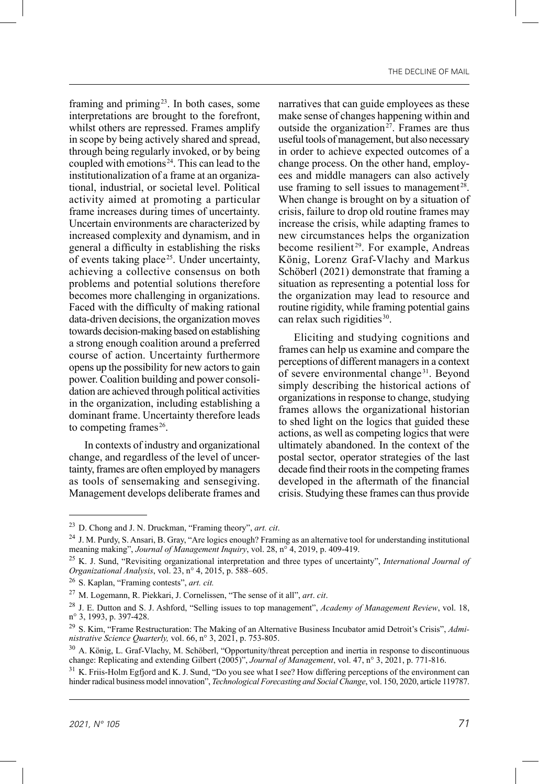framing and priming<sup>23</sup>. In both cases, some interpretations are brought to the forefront, whilst others are repressed. Frames amplify in scope by being actively shared and spread, through being regularly invoked, or by being coupled with emotions<sup>24</sup>. This can lead to the institutionalization of a frame at an organizational, industrial, or societal level. Political activity aimed at promoting a particular frame increases during times of uncertainty. Uncertain environments are characterized by increased complexity and dynamism, and in general a difficulty in establishing the risks of events taking place<sup>25</sup>. Under uncertainty, achieving a collective consensus on both problems and potential solutions therefore becomes more challenging in organizations. Faced with the difficulty of making rational data-driven decisions, the organization moves towards decision-making based on establishing a strong enough coalition around a preferred course of action. Uncertainty furthermore opens up the possibility for new actors to gain power. Coalition building and power consolidation are achieved through political activities in the organization, including establishing a dominant frame. Uncertainty therefore leads to competing frames $26$ .

In contexts of industry and organizational change, and regardless of the level of uncertainty, frames are often employed by managers as tools of sensemaking and sensegiving. Management develops deliberate frames and narratives that can guide employees as these make sense of changes happening within and outside the organization<sup>27</sup>. Frames are thus useful tools of management, but also necessary in order to achieve expected outcomes of a change process. On the other hand, employees and middle managers can also actively use framing to sell issues to management<sup>28</sup>. When change is brought on by a situation of crisis, failure to drop old routine frames may increase the crisis, while adapting frames to new circumstances helps the organization become resilient<sup>29</sup>. For example, Andreas König, Lorenz Graf-Vlachy and Markus Schöberl (2021) demonstrate that framing a situation as representing a potential loss for the organization may lead to resource and routine rigidity, while framing potential gains can relax such rigidities $30$ .

Eliciting and studying cognitions and frames can help us examine and compare the perceptions of different managers in a context of severe environmental change<sup>31</sup>. Beyond simply describing the historical actions of organizations in response to change, studying frames allows the organizational historian to shed light on the logics that guided these actions, as well as competing logics that were ultimately abandoned. In the context of the postal sector, operator strategies of the last decade find their roots in the competing frames developed in the aftermath of the financial crisis. Studying these frames can thus provide

<sup>23</sup> D. Chong and J. N. Druckman, "Framing theory", *art. cit*.

<sup>&</sup>lt;sup>24</sup> J. M. Purdy, S. Ansari, B. Gray, "Are logics enough? Framing as an alternative tool for understanding institutional meaning making", *Journal of Management Inquiry*, vol. 28, n° 4, 2019, p. 409-419.

<sup>25</sup> K. J. Sund, "Revisiting organizational interpretation and three types of uncertainty", *International Journal of Organizational Analysis*, vol. 23, n° 4, 2015, p. 588–605.

<sup>26</sup> S. Kaplan, "Framing contests", *art. cit.*

<sup>27</sup> M. Logemann, R. Piekkari, J. Cornelissen, "The sense of it all", *art*. *cit*.

<sup>28</sup> J. E. Dutton and S. J. Ashford, "Selling issues to top management", *Academy of Management Review*, vol. 18, n° 3, 1993, p. 397-428.

<sup>29</sup> S. Kim, "Frame Restructuration: The Making of an Alternative Business Incubator amid Detroit's Crisis", *Administrative Science Quarterly,* vol. 66, n° 3, 2021, p. 753-805.

<sup>&</sup>lt;sup>30</sup> A. König, L. Graf-Vlachy, M. Schöberl, "Opportunity/threat perception and inertia in response to discontinuous change: Replicating and extending Gilbert (2005)", *Journal of Management*, vol. 47, n° 3, 2021, p. 771-816.

<sup>&</sup>lt;sup>31</sup> K. Friis-Holm Egfjord and K. J. Sund, "Do you see what I see? How differing perceptions of the environment can hinder radical business model innovation", *Technological Forecasting and Social Change*, vol. 150, 2020, article 119787.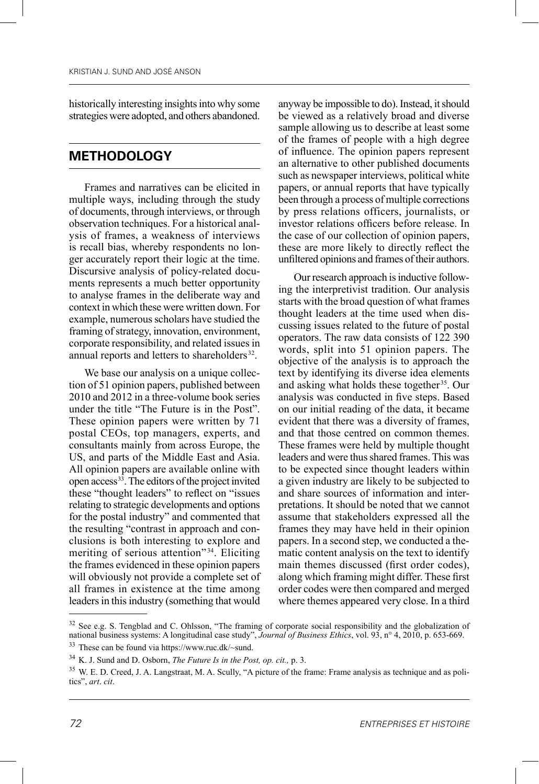historically interesting insights into why some strategies were adopted, and others abandoned.

#### **METHODOLOGY**

Frames and narratives can be elicited in multiple ways, including through the study of documents, through interviews, or through observation techniques. For a historical analysis of frames, a weakness of interviews is recall bias, whereby respondents no longer accurately report their logic at the time. Discursive analysis of policy-related documents represents a much better opportunity to analyse frames in the deliberate way and context in which these were written down. For example, numerous scholars have studied the framing of strategy, innovation, environment, corporate responsibility, and related issues in annual reports and letters to shareholders<sup>32</sup>.

We base our analysis on a unique collection of 51 opinion papers, published between 2010 and 2012 in a three-volume book series under the title "The Future is in the Post". These opinion papers were written by 71 postal CEOs, top managers, experts, and consultants mainly from across Europe, the US, and parts of the Middle East and Asia. All opinion papers are available online with open access<sup>33</sup>. The editors of the project invited these "thought leaders" to reflect on "issues relating to strategic developments and options for the postal industry" and commented that the resulting "contrast in approach and conclusions is both interesting to explore and meriting of serious attention"<sup>34</sup>. Eliciting the frames evidenced in these opinion papers will obviously not provide a complete set of all frames in existence at the time among leaders in this industry (something that would

anyway be impossible to do). Instead, it should be viewed as a relatively broad and diverse sample allowing us to describe at least some of the frames of people with a high degree of influence. The opinion papers represent an alternative to other published documents such as newspaper interviews, political white papers, or annual reports that have typically been through a process of multiple corrections by press relations officers, journalists, or investor relations officers before release. In the case of our collection of opinion papers, these are more likely to directly reflect the unfiltered opinions and frames of their authors.

Our research approach is inductive following the interpretivist tradition. Our analysis starts with the broad question of what frames thought leaders at the time used when discussing issues related to the future of postal operators. The raw data consists of 122 390 words, split into 51 opinion papers. The objective of the analysis is to approach the text by identifying its diverse idea elements and asking what holds these together<sup>35</sup>. Our analysis was conducted in five steps. Based on our initial reading of the data, it became evident that there was a diversity of frames, and that those centred on common themes. These frames were held by multiple thought leaders and were thus shared frames. This was to be expected since thought leaders within a given industry are likely to be subjected to and share sources of information and interpretations. It should be noted that we cannot assume that stakeholders expressed all the frames they may have held in their opinion papers. In a second step, we conducted a thematic content analysis on the text to identify main themes discussed (first order codes), along which framing might differ. These first order codes were then compared and merged where themes appeared very close. In a third

<sup>&</sup>lt;sup>32</sup> See e.g. S. Tengblad and C. Ohlsson, "The framing of corporate social responsibility and the globalization of national business systems: A longitudinal case study", *Journal of Business Ethics*, vol. 93, n° 4, 2010, p. 653-669. <sup>33</sup> These can be found via https://www.ruc.dk/~sund.

<sup>34</sup> K. J. Sund and D. Osborn, *The Future Is in the Post, op. cit.,* p. 3.

<sup>&</sup>lt;sup>35</sup> W. E. D. Creed, J. A. Langstraat, M. A. Scully, "A picture of the frame: Frame analysis as technique and as politics", *art*. *cit*.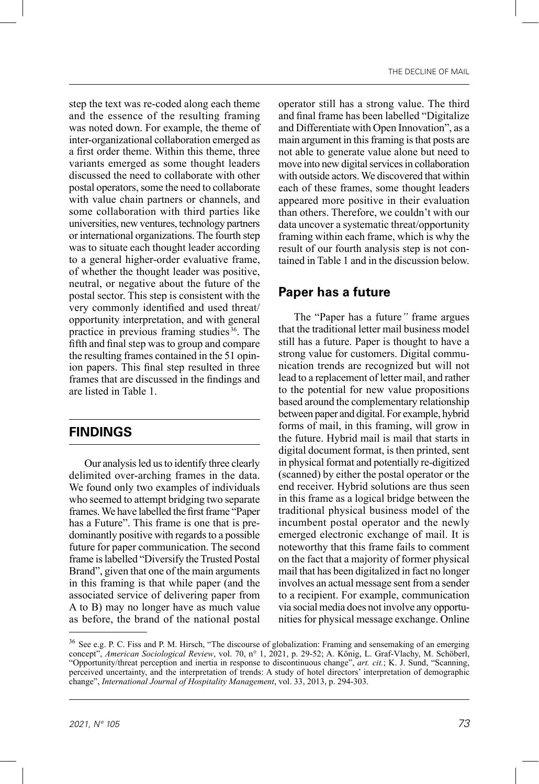step the text was re-coded along each theme and the essence of the resulting framing was noted down. For example, the theme of inter-organizational collaboration emerged as a first order theme. Within this theme, three variants emerged as some thought leaders discussed the need to collaborate with other postal operators, some the need to collaborate with value chain partners or channels, and some collaboration with third parties like universities, new ventures, technology partners or international organizations. The fourth step was to situate each thought leader according to a general higher-order evaluative frame, of whether the thought leader was positive, neutral, or negative about the future of the postal sector. This step is consistent with the very commonly identified and used threat/ opportunity interpretation, and with general practice in previous framing studies 36. The fifth and final step was to group and compare the resulting frames contained in the 51 opinion papers. This final step resulted in three frames that are discussed in the findings and are listed in Table 1.

#### **FINDINGS**

Our analysis led us to identify three clearly delimited over-arching frames in the data. We found only two examples of individuals who seemed to attempt bridging two separate frames. We have labelled the first frame "Paper has a Future". This frame is one that is predominantly positive with regards to a possible future for paper communication. The second frame is labelled "Diversify the Trusted Postal Brand", given that one of the main arguments in this framing is that while paper (and the associated service of delivering paper from A to B) may no longer have as much value as before, the brand of the national postal operator still has a strong value. The third and final frame has been labelled "Digitalize and Differentiate with Open Innovation", as a main argument in this framing is that posts are not able to generate value alone but need to move into new digital services in collaboration with outside actors. We discovered that within each of these frames, some thought leaders appeared more positive in their evaluation than others. Therefore, we couldn't with our data uncover a systematic threat/opportunity framing within each frame, which is why the result of our fourth analysis step is not contained in Table 1 and in the discussion below.

#### **Paper has a future**

The "Paper has a future*"* frame argues that the traditional letter mail business model still has a future. Paper is thought to have a strong value for customers. Digital communication trends are recognized but will not lead to a replacement of letter mail, and rather to the potential for new value propositions based around the complementary relationship between paper and digital. For example, hybrid forms of mail, in this framing, will grow in the future. Hybrid mail is mail that starts in digital document format, is then printed, sent in physical format and potentially re-digitized (scanned) by either the postal operator or the end receiver. Hybrid solutions are thus seen in this frame as a logical bridge between the traditional physical business model of the incumbent postal operator and the newly emerged electronic exchange of mail. It is noteworthy that this frame fails to comment on the fact that a majority of former physical mail that has been digitalized in fact no longer involves an actual message sent from a sender to a recipient. For example, communication via social media does not involve any opportunities for physical message exchange. Online

<sup>&</sup>lt;sup>36</sup> See e.g. P. C. Fiss and P. M. Hirsch, "The discourse of globalization: Framing and sensemaking of an emerging concept", *American Sociological Review*, vol. 70, n° 1, 2021, p. 29-52; A. König, L. Graf-Vlachy, M. Schöberl, "Opportunity/threat perception and inertia in response to discontinuous change", *art. cit.*; K. J. Sund, "Scanning, perceived uncertainty, and the interpretation of trends: A study of hotel directors' interpretation of demographic change", *International Journal of Hospitality Management*, vol. 33, 2013, p. 294-303.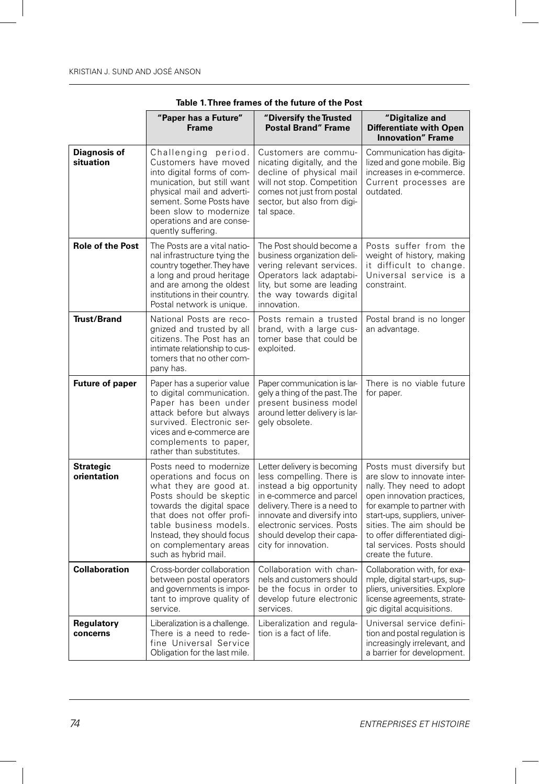|                                  | "Paper has a Future"<br><b>Frame</b>                                                                                                                                                                                                                                         | "Diversify the Trusted<br><b>Postal Brand" Frame</b>                                                                                                                                                                                                                 | "Digitalize and<br><b>Differentiate with Open</b><br><b>Innovation</b> " Frame                                                                                                                                                                                                                       |
|----------------------------------|------------------------------------------------------------------------------------------------------------------------------------------------------------------------------------------------------------------------------------------------------------------------------|----------------------------------------------------------------------------------------------------------------------------------------------------------------------------------------------------------------------------------------------------------------------|------------------------------------------------------------------------------------------------------------------------------------------------------------------------------------------------------------------------------------------------------------------------------------------------------|
| <b>Diagnosis of</b><br>situation | Challenging period.<br>Customers have moved<br>into digital forms of com-<br>munication, but still want<br>physical mail and adverti-<br>sement. Some Posts have<br>been slow to modernize<br>operations and are conse-<br>quently suffering.                                | Customers are commu-<br>nicating digitally, and the<br>decline of physical mail<br>will not stop. Competition<br>comes not just from postal<br>sector, but also from digi-<br>tal space.                                                                             | Communication has digita-<br>lized and gone mobile. Big<br>increases in e-commerce.<br>Current processes are<br>outdated.                                                                                                                                                                            |
| <b>Role of the Post</b>          | The Posts are a vital natio-<br>nal infrastructure tying the<br>country together. They have<br>a long and proud heritage<br>and are among the oldest<br>institutions in their country.<br>Postal network is unique.                                                          | The Post should become a<br>business organization deli-<br>vering relevant services.<br>Operators lack adaptabi-<br>lity, but some are leading<br>the way towards digital<br>innovation.                                                                             | Posts suffer from the<br>weight of history, making<br>it difficult to change.<br>Universal service is a<br>constraint.                                                                                                                                                                               |
| <b>Trust/Brand</b>               | National Posts are reco-<br>gnized and trusted by all<br>citizens. The Post has an<br>intimate relationship to cus-<br>tomers that no other com-<br>pany has.                                                                                                                | Posts remain a trusted<br>brand, with a large cus-<br>tomer base that could be<br>exploited.                                                                                                                                                                         | Postal brand is no longer<br>an advantage.                                                                                                                                                                                                                                                           |
| <b>Future of paper</b>           | Paper has a superior value<br>to digital communication.<br>Paper has been under<br>attack before but always<br>survived. Electronic ser-<br>vices and e-commerce are<br>complements to paper,<br>rather than substitutes.                                                    | Paper communication is lar-<br>gely a thing of the past. The<br>present business model<br>around letter delivery is lar-<br>gely obsolete.                                                                                                                           | There is no viable future<br>for paper.                                                                                                                                                                                                                                                              |
| <b>Strategic</b><br>orientation  | Posts need to modernize<br>operations and focus on<br>what they are good at.<br>Posts should be skeptic<br>towards the digital space<br>that does not offer profi-<br>table business models.<br>Instead, they should focus<br>on complementary areas<br>such as hybrid mail. | Letter delivery is becoming<br>less compelling. There is<br>instead a big opportunity<br>in e-commerce and parcel<br>delivery. There is a need to<br>innovate and diversify into<br>electronic services. Posts<br>should develop their capa-<br>city for innovation. | Posts must diversify but<br>are slow to innovate inter-<br>nally. They need to adopt<br>open innovation practices,<br>for example to partner with<br>start-ups, suppliers, univer-<br>sities. The aim should be<br>to offer differentiated digi-<br>tal services. Posts should<br>create the future. |
| <b>Collaboration</b>             | Cross-border collaboration<br>between postal operators<br>and governments is impor-<br>tant to improve quality of<br>service.                                                                                                                                                | Collaboration with chan-<br>nels and customers should<br>be the focus in order to<br>develop future electronic<br>services.                                                                                                                                          | Collaboration with, for exa-<br>mple, digital start-ups, sup-<br>pliers, universities. Explore<br>license agreements, strate-<br>gic digital acquisitions.                                                                                                                                           |
| Regulatory<br>concerns           | Liberalization is a challenge.<br>There is a need to rede-<br>fine Universal Service<br>Obligation for the last mile.                                                                                                                                                        | Liberalization and regula-<br>tion is a fact of life.                                                                                                                                                                                                                | Universal service defini-<br>tion and postal regulation is<br>increasingly irrelevant, and<br>a barrier for development.                                                                                                                                                                             |

**Table 1. Three frames of the future of the Post**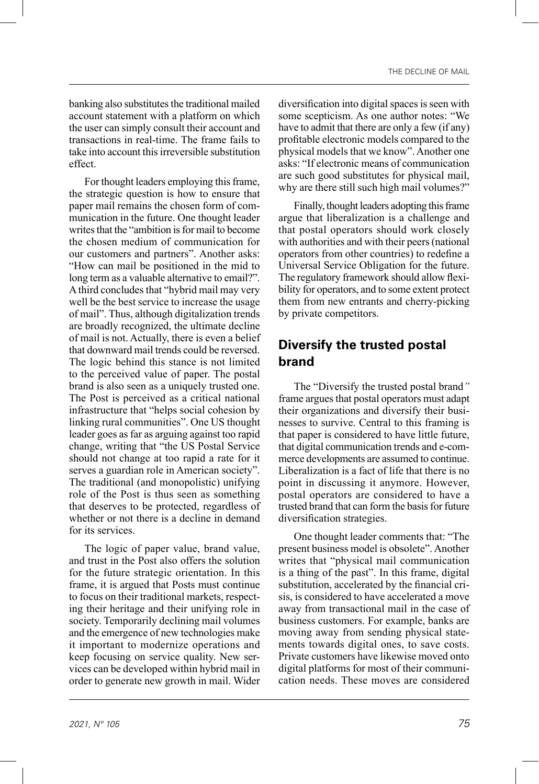banking also substitutes the traditional mailed account statement with a platform on which the user can simply consult their account and transactions in real-time. The frame fails to take into account this irreversible substitution effect.

For thought leaders employing this frame, the strategic question is how to ensure that paper mail remains the chosen form of communication in the future. One thought leader writes that the "ambition is for mail to become the chosen medium of communication for our customers and partners". Another asks: "How can mail be positioned in the mid to long term as a valuable alternative to email?". A third concludes that "hybrid mail may very well be the best service to increase the usage of mail". Thus, although digitalization trends are broadly recognized, the ultimate decline of mail is not. Actually, there is even a belief that downward mail trends could be reversed. The logic behind this stance is not limited to the perceived value of paper. The postal brand is also seen as a uniquely trusted one. The Post is perceived as a critical national infrastructure that "helps social cohesion by linking rural communities". One US thought leader goes as far as arguing against too rapid change, writing that "the US Postal Service should not change at too rapid a rate for it serves a guardian role in American society". The traditional (and monopolistic) unifying role of the Post is thus seen as something that deserves to be protected, regardless of whether or not there is a decline in demand for its services.

The logic of paper value, brand value, and trust in the Post also offers the solution for the future strategic orientation. In this frame, it is argued that Posts must continue to focus on their traditional markets, respecting their heritage and their unifying role in society. Temporarily declining mail volumes and the emergence of new technologies make it important to modernize operations and keep focusing on service quality. New services can be developed within hybrid mail in order to generate new growth in mail. Wider diversification into digital spaces is seen with some scepticism. As one author notes: "We have to admit that there are only a few (if any) profitable electronic models compared to the physical models that we know". Another one asks: "If electronic means of communication are such good substitutes for physical mail, why are there still such high mail volumes?"

Finally, thought leaders adopting this frame argue that liberalization is a challenge and that postal operators should work closely with authorities and with their peers (national operators from other countries) to redefine a Universal Service Obligation for the future. The regulatory framework should allow flexibility for operators, and to some extent protect them from new entrants and cherry-picking by private competitors.

## **Diversify the trusted postal brand**

The "Diversify the trusted postal brand*"*  frame argues that postal operators must adapt their organizations and diversify their businesses to survive. Central to this framing is that paper is considered to have little future, that digital communication trends and e-commerce developments are assumed to continue. Liberalization is a fact of life that there is no point in discussing it anymore. However, postal operators are considered to have a trusted brand that can form the basis for future diversification strategies.

One thought leader comments that: "The present business model is obsolete". Another writes that "physical mail communication is a thing of the past". In this frame, digital substitution, accelerated by the financial crisis, is considered to have accelerated a move away from transactional mail in the case of business customers. For example, banks are moving away from sending physical statements towards digital ones, to save costs. Private customers have likewise moved onto digital platforms for most of their communication needs. These moves are considered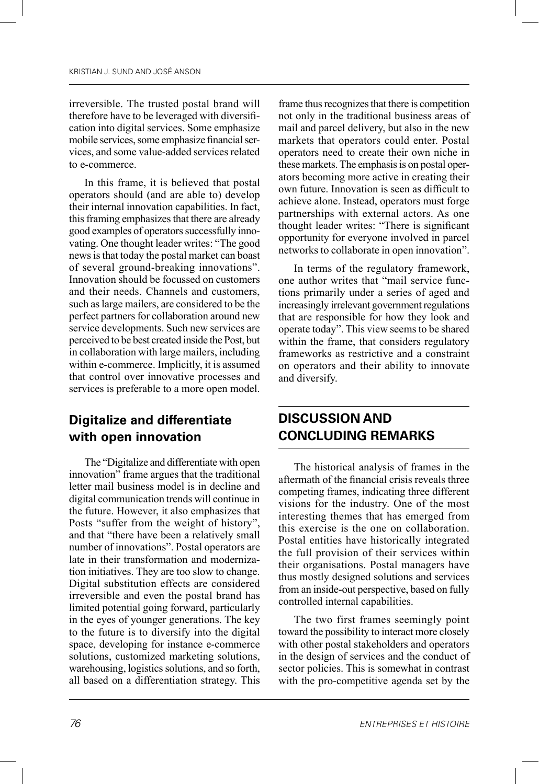irreversible. The trusted postal brand will therefore have to be leveraged with diversification into digital services. Some emphasize mobile services, some emphasize financial services, and some value-added services related to e-commerce.

In this frame, it is believed that postal operators should (and are able to) develop their internal innovation capabilities. In fact, this framing emphasizes that there are already good examples of operators successfully innovating. One thought leader writes: "The good news is that today the postal market can boast of several ground-breaking innovations". Innovation should be focussed on customers and their needs. Channels and customers, such as large mailers, are considered to be the perfect partners for collaboration around new service developments. Such new services are perceived to be best created inside the Post, but in collaboration with large mailers, including within e-commerce. Implicitly, it is assumed that control over innovative processes and services is preferable to a more open model.

## **Digitalize and differentiate with open innovation**

The "Digitalize and differentiate with open innovation" frame argues that the traditional letter mail business model is in decline and digital communication trends will continue in the future. However, it also emphasizes that Posts "suffer from the weight of history", and that "there have been a relatively small number of innovations". Postal operators are late in their transformation and modernization initiatives. They are too slow to change. Digital substitution effects are considered irreversible and even the postal brand has limited potential going forward, particularly in the eyes of younger generations. The key to the future is to diversify into the digital space, developing for instance e-commerce solutions, customized marketing solutions, warehousing, logistics solutions, and so forth, all based on a differentiation strategy. This

frame thus recognizes that there is competition not only in the traditional business areas of mail and parcel delivery, but also in the new markets that operators could enter. Postal operators need to create their own niche in these markets. The emphasis is on postal operators becoming more active in creating their own future. Innovation is seen as difficult to achieve alone. Instead, operators must forge partnerships with external actors. As one thought leader writes: "There is significant opportunity for everyone involved in parcel networks to collaborate in open innovation".

In terms of the regulatory framework, one author writes that "mail service functions primarily under a series of aged and increasingly irrelevant government regulations that are responsible for how they look and operate today". This view seems to be shared within the frame, that considers regulatory frameworks as restrictive and a constraint on operators and their ability to innovate and diversify.

## **DISCUSSION AND CONCLUDING REMARKS**

The historical analysis of frames in the aftermath of the financial crisis reveals three competing frames, indicating three different visions for the industry. One of the most interesting themes that has emerged from this exercise is the one on collaboration. Postal entities have historically integrated the full provision of their services within their organisations. Postal managers have thus mostly designed solutions and services from an inside-out perspective, based on fully controlled internal capabilities.

The two first frames seemingly point toward the possibility to interact more closely with other postal stakeholders and operators in the design of services and the conduct of sector policies. This is somewhat in contrast with the pro-competitive agenda set by the